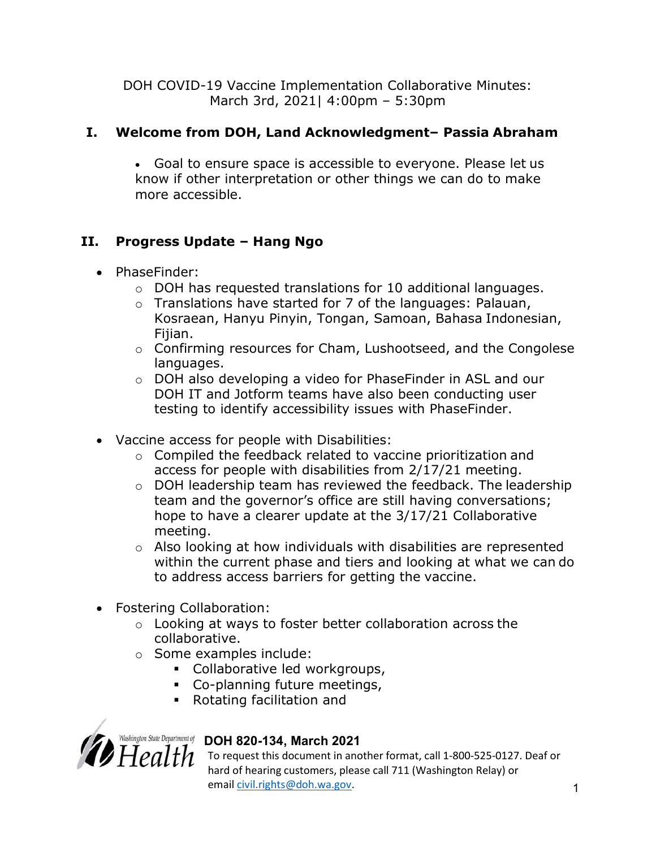DOH COVID-19 Vaccine Implementation Collaborative Minutes: March 3rd, 2021| 4:00pm – 5:30pm

## I. Welcome from DOH, Land Acknowledgment– Passia Abraham

 Goal to ensure space is accessible to everyone. Please let us know if other interpretation or other things we can do to make more accessible.

# II. Progress Update – Hang Ngo

- PhaseFinder:
	- $\circ$  DOH has requested translations for 10 additional languages.
	- o Translations have started for 7 of the languages: Palauan, Kosraean, Hanyu Pinyin, Tongan, Samoan, Bahasa Indonesian, Fijian.
	- o Confirming resources for Cham, Lushootseed, and the Congolese languages.
	- o DOH also developing a video for PhaseFinder in ASL and our DOH IT and Jotform teams have also been conducting user testing to identify accessibility issues with PhaseFinder.
- Vaccine access for people with Disabilities:
	- o Compiled the feedback related to vaccine prioritization and access for people with disabilities from 2/17/21 meeting.
	- o DOH leadership team has reviewed the feedback. The leadership team and the governor's office are still having conversations; hope to have a clearer update at the 3/17/21 Collaborative meeting.
	- o Also looking at how individuals with disabilities are represented within the current phase and tiers and looking at what we can do to address access barriers for getting the vaccine.
- Fostering Collaboration:
	- o Looking at ways to foster better collaboration across the collaborative.
	- o Some examples include:
		- Collaborative led workgroups,
		- Co-planning future meetings,
		- Rotating facilitation and



# Washington State Department of DOH 820-134, March 2021

 $H\rho$   $I$   $H$  To request this document in another format, call 1-800-525-0127. Deaf or hard of hearing customers, please call 711 (Washington Relay) or email civil.rights@doh.wa.gov. 1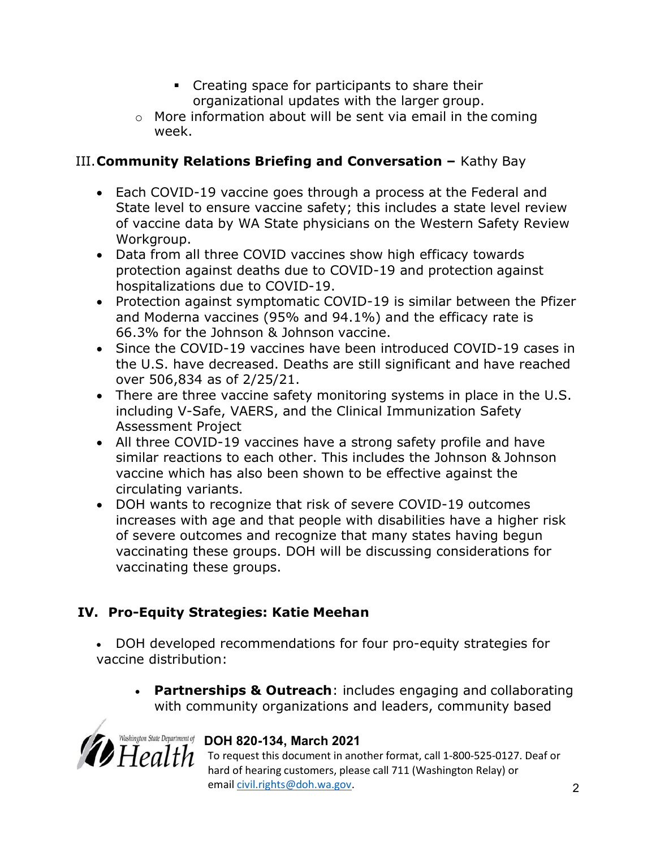- Creating space for participants to share their organizational updates with the larger group.
- $\circ$  More information about will be sent via email in the coming week.

# III. Community Relations Briefing and Conversation - Kathy Bay

- Each COVID-19 vaccine goes through a process at the Federal and State level to ensure vaccine safety; this includes a state level review of vaccine data by WA State physicians on the Western Safety Review Workgroup.
- Data from all three COVID vaccines show high efficacy towards protection against deaths due to COVID-19 and protection against hospitalizations due to COVID-19.
- Protection against symptomatic COVID-19 is similar between the Pfizer and Moderna vaccines (95% and 94.1%) and the efficacy rate is 66.3% for the Johnson & Johnson vaccine.
- Since the COVID-19 vaccines have been introduced COVID-19 cases in the U.S. have decreased. Deaths are still significant and have reached over 506,834 as of 2/25/21.
- There are three vaccine safety monitoring systems in place in the U.S. including V-Safe, VAERS, and the Clinical Immunization Safety Assessment Project
- All three COVID-19 vaccines have a strong safety profile and have similar reactions to each other. This includes the Johnson & Johnson vaccine which has also been shown to be effective against the circulating variants.
- DOH wants to recognize that risk of severe COVID-19 outcomes increases with age and that people with disabilities have a higher risk of severe outcomes and recognize that many states having begun vaccinating these groups. DOH will be discussing considerations for vaccinating these groups.

# IV. Pro-Equity Strategies: Katie Meehan

 DOH developed recommendations for four pro-equity strategies for vaccine distribution:

• Partnerships & Outreach: includes engaging and collaborating with community organizations and leaders, community based



# Washington State Department of DOH 820-134, March 2021

 $Health$  To request this document in another format, call 1-800-525-0127. Deaf or hard of hearing customers, please call 711 (Washington Relay) or email **civil.rights@doh.wa.gov.** 2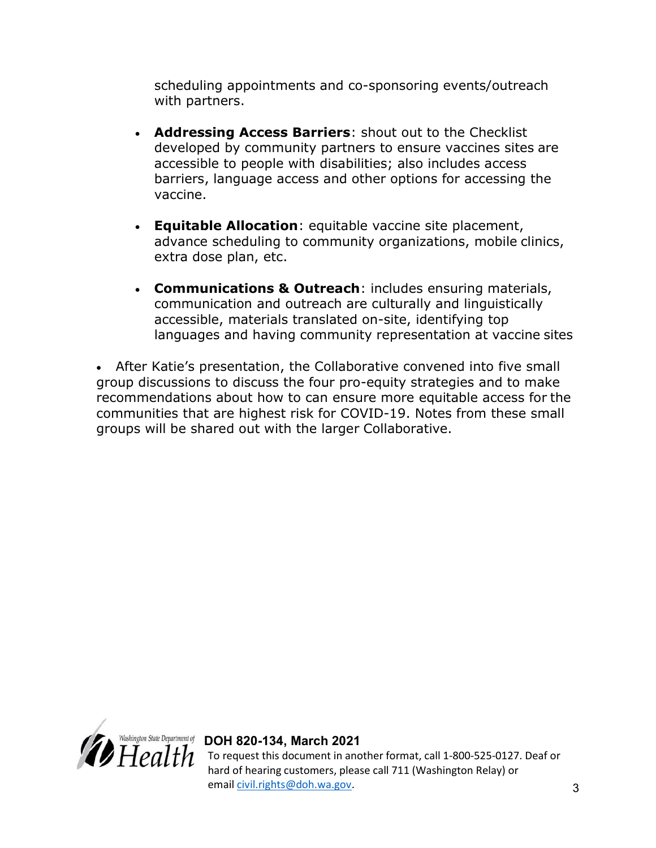scheduling appointments and co-sponsoring events/outreach with partners.

- Addressing Access Barriers: shout out to the Checklist developed by community partners to ensure vaccines sites are accessible to people with disabilities; also includes access barriers, language access and other options for accessing the vaccine.
- Equitable Allocation: equitable vaccine site placement, advance scheduling to community organizations, mobile clinics, extra dose plan, etc.
- Communications & Outreach: includes ensuring materials, communication and outreach are culturally and linguistically accessible, materials translated on-site, identifying top languages and having community representation at vaccine sites

 After Katie's presentation, the Collaborative convened into five small group discussions to discuss the four pro-equity strategies and to make recommendations about how to can ensure more equitable access for the communities that are highest risk for COVID-19. Notes from these small groups will be shared out with the larger Collaborative.



Washington State Department of DOH 820-134, March 2021 To request this document in another format, call 1-800-525-0127. Deaf or hard of hearing customers, please call 711 (Washington Relay) or email **civil.rights@doh.wa.gov.** 3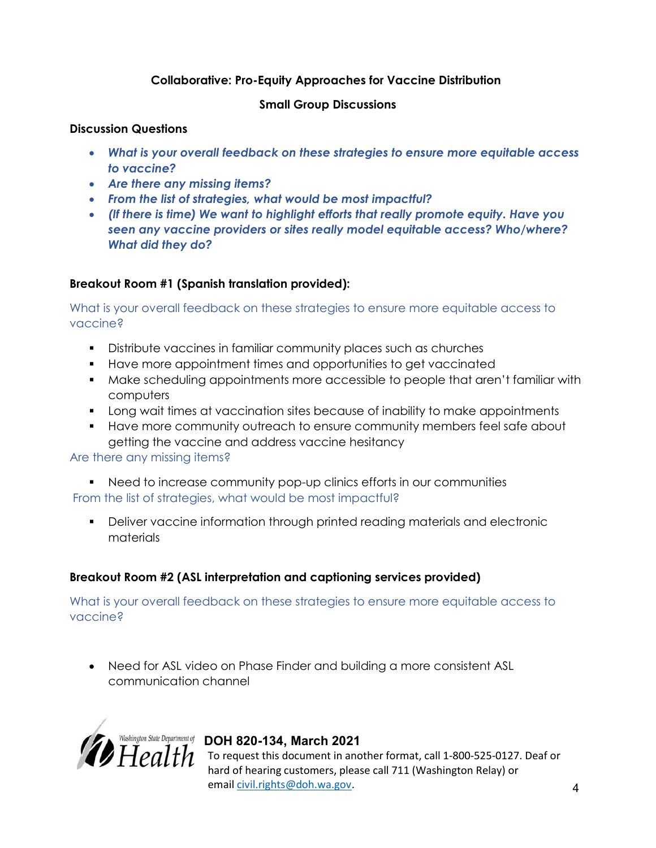#### Collaborative: Pro-Equity Approaches for Vaccine Distribution

#### Small Group Discussions

#### Discussion Questions

- What is your overall feedback on these strategies to ensure more equitable access to vaccine?
- Are there any missing items?
- From the list of strategies, what would be most impactful?
- (If there is time) We want to highlight efforts that really promote equity. Have you seen any vaccine providers or sites really model equitable access? Who/where? What did they do?

#### Breakout Room #1 (Spanish translation provided):

What is your overall feedback on these strategies to ensure more equitable access to vaccine?

- Distribute vaccines in familiar community places such as churches
- Have more appointment times and opportunities to get vaccinated
- Make scheduling appointments more accessible to people that aren't familiar with computers
- **Long wait times at vaccination sites because of inability to make appointments**
- Have more community outreach to ensure community members feel safe about getting the vaccine and address vaccine hesitancy

#### Are there any missing items?

- Need to increase community pop-up clinics efforts in our communities From the list of strategies, what would be most impactful?
	- Deliver vaccine information through printed reading materials and electronic materials

## Breakout Room #2 (ASL interpretation and captioning services provided)

What is your overall feedback on these strategies to ensure more equitable access to vaccine?

• Need for ASL video on Phase Finder and building a more consistent ASL communication channel



## Washington State Department of DOH 820-134, March 2021

 $H\epsilon allth$  To request this document in another format, call 1-800-525-0127. Deaf or hard of hearing customers, please call 711 (Washington Relay) or email civil.rights@doh.wa.gov. 4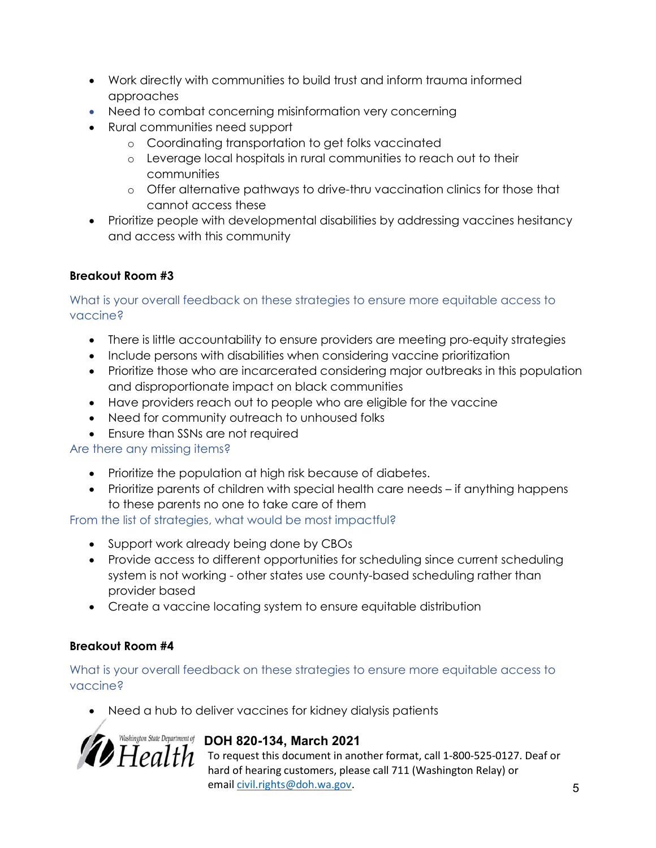- Work directly with communities to build trust and inform trauma informed approaches
- Need to combat concerning misinformation very concerning
- Rural communities need support
	- o Coordinating transportation to get folks vaccinated
	- o Leverage local hospitals in rural communities to reach out to their communities
	- o Offer alternative pathways to drive-thru vaccination clinics for those that cannot access these
- Prioritize people with developmental disabilities by addressing vaccines hesitancy and access with this community

## Breakout Room #3

#### What is your overall feedback on these strategies to ensure more equitable access to vaccine?

- There is little accountability to ensure providers are meeting pro-equity strategies
- Include persons with disabilities when considering vaccine prioritization
- Prioritize those who are incarcerated considering major outbreaks in this population and disproportionate impact on black communities
- Have providers reach out to people who are eligible for the vaccine
- Need for community outreach to unhoused folks
- Ensure than SSNs are not required

## Are there any missing items?

- Prioritize the population at high risk because of diabetes.
- Prioritize parents of children with special health care needs if anything happens to these parents no one to take care of them

From the list of strategies, what would be most impactful?

- Support work already being done by CBOs
- Provide access to different opportunities for scheduling since current scheduling system is not working - other states use county-based scheduling rather than provider based
- Create a vaccine locating system to ensure equitable distribution

## Breakout Room #4

#### What is your overall feedback on these strategies to ensure more equitable access to vaccine?

Need a hub to deliver vaccines for kidney dialysis patients



To request this document in another format, call 1-800-525-0127. Deaf or hard of hearing customers, please call 711 (Washington Relay) or email **civil.rights@doh.wa.gov.** 5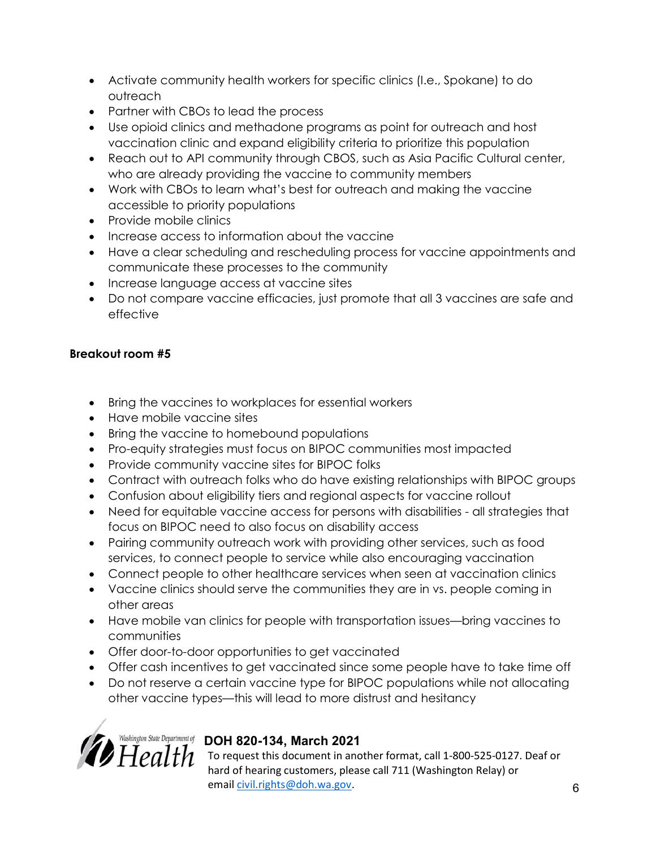- Activate community health workers for specific clinics (I.e., Spokane) to do outreach
- Partner with CBOs to lead the process
- Use opioid clinics and methadone programs as point for outreach and host vaccination clinic and expand eligibility criteria to prioritize this population
- Reach out to API community through CBOS, such as Asia Pacific Cultural center, who are already providing the vaccine to community members
- Work with CBOs to learn what's best for outreach and making the vaccine accessible to priority populations
- Provide mobile clinics
- Increase access to information about the vaccine
- Have a clear scheduling and rescheduling process for vaccine appointments and communicate these processes to the community
- Increase language access at vaccine sites
- Do not compare vaccine efficacies, just promote that all 3 vaccines are safe and effective

## Breakout room #5

- Bring the vaccines to workplaces for essential workers
- Have mobile vaccine sites
- Bring the vaccine to homebound populations
- Pro-equity strategies must focus on BIPOC communities most impacted
- Provide community vaccine sites for BIPOC folks
- Contract with outreach folks who do have existing relationships with BIPOC groups
- Confusion about eligibility tiers and regional aspects for vaccine rollout
- Need for equitable vaccine access for persons with disabilities all strategies that focus on BIPOC need to also focus on disability access
- Pairing community outreach work with providing other services, such as food services, to connect people to service while also encouraging vaccination
- Connect people to other healthcare services when seen at vaccination clinics
- Vaccine clinics should serve the communities they are in vs. people coming in other areas
- Have mobile van clinics for people with transportation issues—bring vaccines to communities
- Offer door-to-door opportunities to get vaccinated
- Offer cash incentives to get vaccinated since some people have to take time off
- Do not reserve a certain vaccine type for BIPOC populations while not allocating other vaccine types—this will lead to more distrust and hesitancy



To request this document in another format, call 1-800-525-0127. Deaf or hard of hearing customers, please call 711 (Washington Relay) or email civil.rights@doh.wa.gov. 6